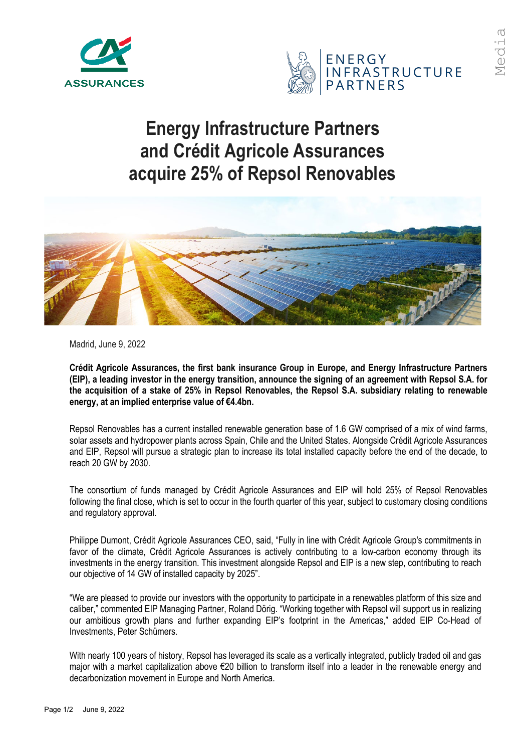



## **Energy Infrastructure Partners and Crédit Agricole Assurances acquire 25% of Repsol Renovables**



Madrid, June 9, 2022

**Crédit Agricole Assurances, the first bank insurance Group in Europe, and Energy Infrastructure Partners (EIP), a leading investor in the energy transition, announce the signing of an agreement with Repsol S.A. for the acquisition of a stake of 25% in Repsol Renovables, the Repsol S.A. subsidiary relating to renewable energy, at an implied enterprise value of €4.4bn.**

Repsol Renovables has a current installed renewable generation base of 1.6 GW comprised of a mix of wind farms, solar assets and hydropower plants across Spain, Chile and the United States. Alongside Crédit Agricole Assurances and EIP, Repsol will pursue a strategic plan to increase its total installed capacity before the end of the decade, to reach 20 GW by 2030.

The consortium of funds managed by Crédit Agricole Assurances and EIP will hold 25% of Repsol Renovables following the final close, which is set to occur in the fourth quarter of this year, subject to customary closing conditions and regulatory approval.

Philippe Dumont, Crédit Agricole Assurances CEO, said, "Fully in line with Crédit Agricole Group's commitments in favor of the climate, Crédit Agricole Assurances is actively contributing to a low-carbon economy through its investments in the energy transition. This investment alongside Repsol and EIP is a new step, contributing to reach our objective of 14 GW of installed capacity by 2025".

"We are pleased to provide our investors with the opportunity to participate in a renewables platform of this size and caliber," commented EIP Managing Partner, Roland Dörig. "Working together with Repsol will support us in realizing our ambitious growth plans and further expanding EIP's footprint in the Americas," added EIP Co-Head of Investments, Peter Schümers.

With nearly 100 years of history, Repsol has leveraged its scale as a vertically integrated, publicly traded oil and gas major with a market capitalization above €20 billion to transform itself into a leader in the renewable energy and decarbonization movement in Europe and North America.